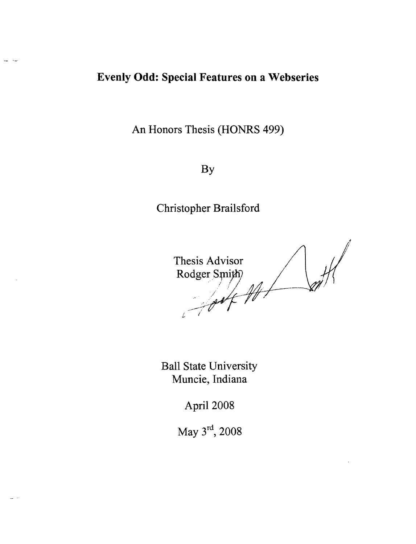## **Evenly Odd: Special Features on a Webseries**

An Honors Thesis (HONRS 499)

By

Christopher Brailsford

 $\frac{1}{2}$ **Thesis Advisor** Rodger Smith)

Ball State University Muncie, Indiana

April 2008

May 3<sup>rd</sup>, 2008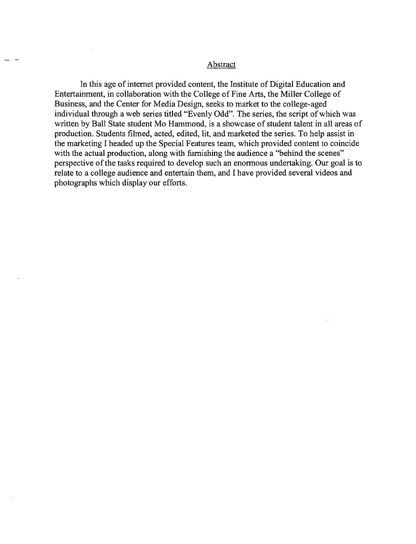## Abstract

In this age of internet provided content, the Institute of Digital Education and Entertainment, in collaboration with the College of Fine Arts, the Miller College of Business, and the Center for Media Design, seeks to market to the college-aged individual through a web series titled "Evenly Odd". The series, the script of which was written by Ball State student Mo Hammond, is a showcase of student talent in all areas of production. Students filmed, acted, edited, lit, and marketed the series. To help assist in the marketing I headed up the Special Features team, which provided content to coincide with the actual production, along with furnishing the audience a "behind the scenes" perspective of the tasks required to develop such an enormous undertaking. Our goal is to relate to a college audience and entertain them, and I have provided several videos and photographs which display our efforts.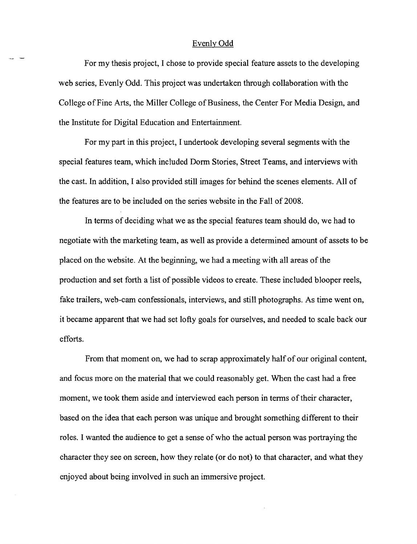## Evenly Odd

For my thesis project, I chose to provide special feature assets to the developing web series, Evenly Odd. This project was undertaken through collaboration with the College of Fine Arts, the Miller College of Business, the Center For Media Design, and the Institute for Digital Education and Entertainment.

For my part in this project, I undertook developing several segments with the special features team, which included Dorm Stories, Street Teams, and interviews with the cast. In addition, I also provided still images for behind the scenes elements. All of the features are to be included on the series website in the Fall of 2008.

In terms of deciding what we as the special features team should do, we had to negotiate with the marketing team, as well as provide a detennined amount of assets to be placed on the website. At the beginning, we had a meeting with all areas of the production and set forth a list of possible videos to create. These included blooper reels, fake trailers, web-cam confessionals, interviews, and still photographs. As time went on, it became apparent that we had set lofty goals for ourselves, and needed to scale back our efforts.

From that moment on, we had to scrap approximately half of our original content, and focus more on the material that we could reasonably get. When the cast had a free moment, we took them aside and interviewed each person in terms of their character, based on the idea that each person was unique and brought something different to their roles. I wanted the audience to get a sense of who the actual person was portraying the character they see on screen, how they relate (or do not) to that character, and what they enjoyed about being involved in such an immersive project.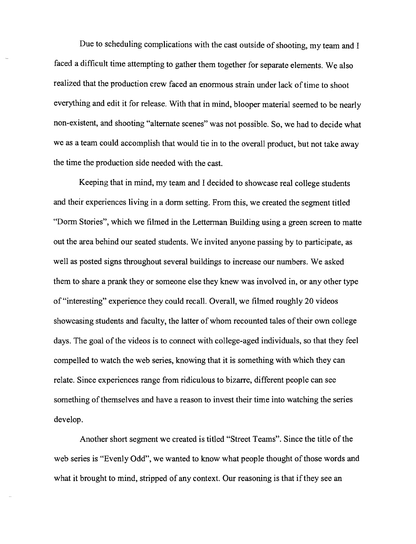Due to scheduling complications with the cast outside of shooting, my team and I faced a difficult time attempting to gather them together for separate elements. We also realized that the production crew faced an enormous strain under lack of time to shoot everything and edit it for release. With that in mind, blooper material seemed to be nearly non-existent, and shooting "alternate scenes" was not possible. So, we had to decide what we as a team could accomplish that would tie in to the overall product, but not take away the time the production side needed with the cast.

Keeping that in mind, my team and I decided to showcase real college students and their experiences living in a dorm setting. From this, we created the segment titled "Dorm Stories", which we filmed in the Letterman Building using a green screen to matte out the area behind our seated students. We invited anyone passing by to participate, as well as posted signs throughout several buildings to increase our numbers. We asked them to share a prank they or someone else they knew was involved in, or any other type of "interesting" experience they could recall. Overall, we filmed roughly 20 videos showcasing students and faculty, the latter of whom recounted tales of their own college days. The goal of the videos is to connect with college-aged individuals, so that they feel compelled to watch the web series, knowing that it is something with which they can relate. Since experiences range from ridiculous to bizarre, different people can see something of themselves and have a reason to invest their time into watching the series develop.

Another short segment we created is titled "Street Teams". Since the title of the web series is "Evenly Odd", we wanted to know what people thought of those words and what it brought to mind, stripped of any context. Our reasoning is that if they see an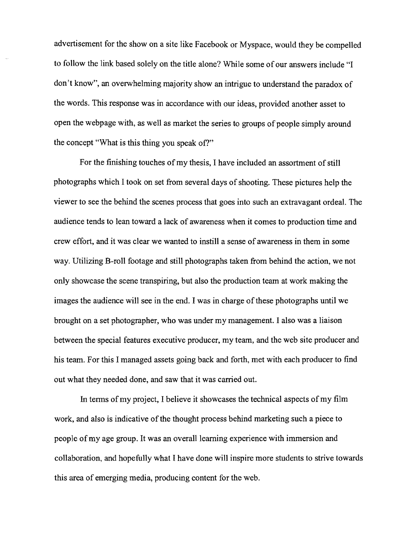advertisement for the show on a site like Facebook or Myspace, would they be compelled to follow the link based solely on the title alone? While some of our answers include "I don't know", an overwhelming majority show an intrigue to understand the paradox of the words. This response was in accordance with our ideas, provided another asset to open the webpage with, as well as market the series to groups of people simply around the concept "What is this thing you speak of?"

For the finishing touches of my thesis, I have included an assortment of still photographs which I took on set from several days of shooting. These pictures help the viewer to see the behind the scenes process that goes into such an extravagant ordeal. The audience tends to lean toward a lack of awareness when it comes to production time and crew effort, and it was clear we wanted to instill a sense of awareness in them in some way. Utilizing B-roll footage and still photographs taken from behind the action, we not only showcase the scene transpiring, but also the production team at work making the images the audience will see in the end. I was in charge of these photographs until we brought on a set photographer, who was under my management. I also was a liaison between the special features executive producer, my team, and the web site producer and his team. For this I managed assets going back and forth, met with each producer to find out what they needed done, and saw that it was carried out.

In terms of my project, I believe it showcases the technical aspects of my film work, and also is indicative of the thought process behind marketing such a piece to people of my age group. It was an overall learning experience with immersion and collaboration, and hopefully what I have done will inspire more students to strive towards this area of emerging media, producing content for the web.